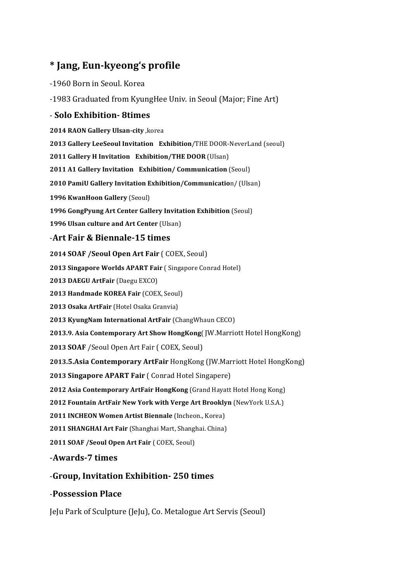## **\* Jang, Eun-kyeong's profile**

#### -1960 Born in Seoul. Korea

-1983 Graduated from KyungHee Univ. in Seoul (Major; Fine Art)

#### - **Solo Exhibition- 8times**

**2014 RAON Gallery Ulsan-city** ,korea

**2013 Gallery LeeSeoul Invitation Exhibition/THE DOOR-NeverLand (seoul)** 

**2011 Gallery H Invitation Exhibition/THE DOOR (Ulsan)** 

**2011 A1 Gallery Invitation Exhibition/ Communication** (Seoul)

**2010 PamiU Gallery Invitation Exhibition/Communication/** (Ulsan)

**1996 KwanHoon Gallery** (Seoul)

**1996 GongPyung Art Center Gallery Invitation Exhibition** (Seoul)

**1996 Ulsan culture and Art Center (Ulsan)** 

#### -**Art Fair & Biennale-15 times**

**2014 SOAF /Seoul Open Art Fair ( COEX, Seoul)** 

**2013 Singapore Worlds APART Fair (Singapore Conrad Hotel)** 

**2013 DAEGU ArtFair** (Daegu EXCO) 

**2013 Handmade KOREA Fair (COEX, Seoul)** 

**2013 Osaka ArtFair** (Hotel Osaka Granvia)

**2013 KyungNam International ArtFair (ChangWhaun CECO)** 

**2013.9. Asia Contemporary Art Show HongKong** [ JW.Marriott Hotel HongKong ]

**2013 SOAF** /Seoul Open Art Fair ( COEX, Seoul)

2013.5.Asia Contemporary ArtFair HongKong (JW.Marriott Hotel HongKong)

**2013 Singapore APART Fair** ( Conrad Hotel Singapere)

**2012 Asia Contemporary ArtFair HongKong** (Grand Hayatt Hotel Hong Kong)

**2012 Fountain ArtFair New York with Verge Art Brooklyn** (NewYork U.S.A.)

2011 **INCHEON Women Artist Biennale** (Incheon., Korea)

**2011 SHANGHAI Art Fair** (Shanghai Mart, Shanghai. China)

**2011 SOAF /Seoul Open Art Fair ( COEX, Seoul)** 

-**Awards-7 times**

-**Group, Invitation Exhibition- 250 times**

### -**Possession Place**

JeJu Park of Sculpture (JeJu), Co. Metalogue Art Servis (Seoul)